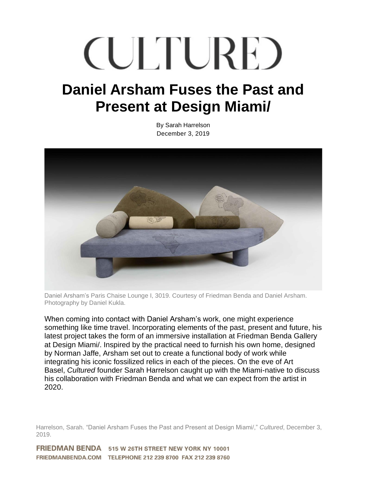## **CULTURE**

## **Daniel Arsham Fuses the Past and Present at Design Miami/**

By Sarah Harrelson December 3, 2019



Daniel Arsham's Paris Chaise Lounge I, 3019. Courtesy of Friedman Benda and Daniel Arsham. Photography by Daniel Kukla.

When coming into contact with Daniel Arsham's work, one might experience something like time travel. Incorporating elements of the past, present and future, his latest project takes the form of an immersive installation at Friedman Benda Gallery at Design Miami/. Inspired by the practical need to furnish his own home, designed by Norman Jaffe, Arsham set out to create a functional body of work while integrating his iconic fossilized relics in each of the pieces. On the eve of Art Basel, *Cultured* founder Sarah Harrelson caught up with the Miami-native to discuss his collaboration with Friedman Benda and what we can expect from the artist in 2020.

Harrelson, Sarah. "Daniel Arsham Fuses the Past and Present at Design Miami/," *Cultured*, December 3, 2019.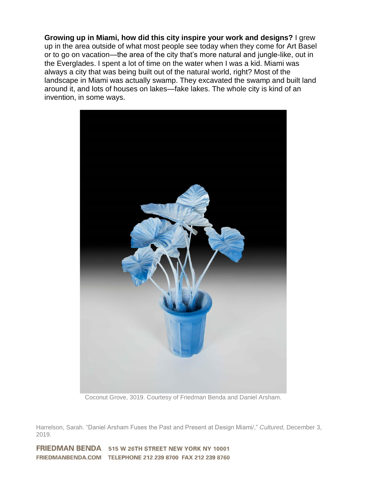**Growing up in Miami, how did this city inspire your work and designs?** I grew up in the area outside of what most people see today when they come for Art Basel or to go on vacation—the area of the city that's more natural and jungle-like, out in the Everglades. I spent a lot of time on the water when I was a kid. Miami was always a city that was being built out of the natural world, right? Most of the landscape in Miami was actually swamp. They excavated the swamp and built land around it, and lots of houses on lakes—fake lakes. The whole city is kind of an invention, in some ways.



Coconut Grove, 3019. Courtesy of Friedman Benda and Daniel Arsham.

Harrelson, Sarah. "Daniel Arsham Fuses the Past and Present at Design Miami/," *Cultured*, December 3, 2019.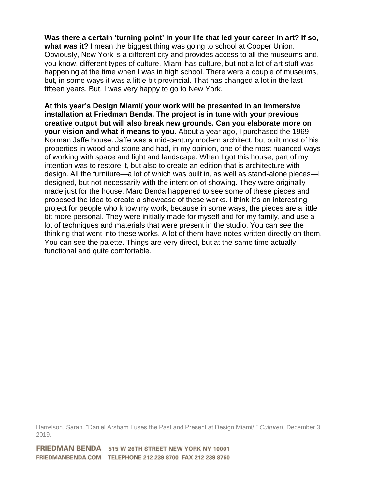**Was there a certain 'turning point' in your life that led your career in art? If so, what was it?** I mean the biggest thing was going to school at Cooper Union. Obviously, New York is a different city and provides access to all the museums and, you know, different types of culture. Miami has culture, but not a lot of art stuff was happening at the time when I was in high school. There were a couple of museums, but, in some ways it was a little bit provincial. That has changed a lot in the last fifteen years. But, I was very happy to go to New York.

**At this year's Design Miami/ your work will be presented in an immersive installation at Friedman Benda. The project is in tune with your previous creative output but will also break new grounds. Can you elaborate more on your vision and what it means to you.** About a year ago, I purchased the 1969 Norman Jaffe house. Jaffe was a mid-century modern architect, but built most of his properties in wood and stone and had, in my opinion, one of the most nuanced ways of working with space and light and landscape. When I got this house, part of my intention was to restore it, but also to create an edition that is architecture with design. All the furniture—a lot of which was built in, as well as stand-alone pieces—I designed, but not necessarily with the intention of showing. They were originally made just for the house. Marc Benda happened to see some of these pieces and proposed the idea to create a showcase of these works. I think it's an interesting project for people who know my work, because in some ways, the pieces are a little bit more personal. They were initially made for myself and for my family, and use a lot of techniques and materials that were present in the studio. You can see the thinking that went into these works. A lot of them have notes written directly on them. You can see the palette. Things are very direct, but at the same time actually functional and quite comfortable.

Harrelson, Sarah. "Daniel Arsham Fuses the Past and Present at Design Miami/," *Cultured*, December 3, 2019.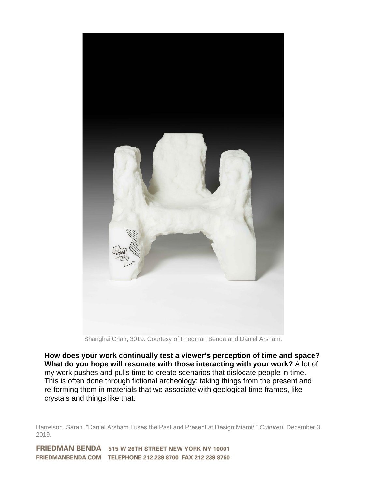

Shanghai Chair, 3019. Courtesy of Friedman Benda and Daniel Arsham.

**How does your work continually test a viewer's perception of time and space? What do you hope will resonate with those interacting with your work?** A lot of my work pushes and pulls time to create scenarios that dislocate people in time. This is often done through fictional archeology: taking things from the present and re-forming them in materials that we associate with geological time frames, like crystals and things like that.

Harrelson, Sarah. "Daniel Arsham Fuses the Past and Present at Design Miami/," *Cultured*, December 3, 2019.